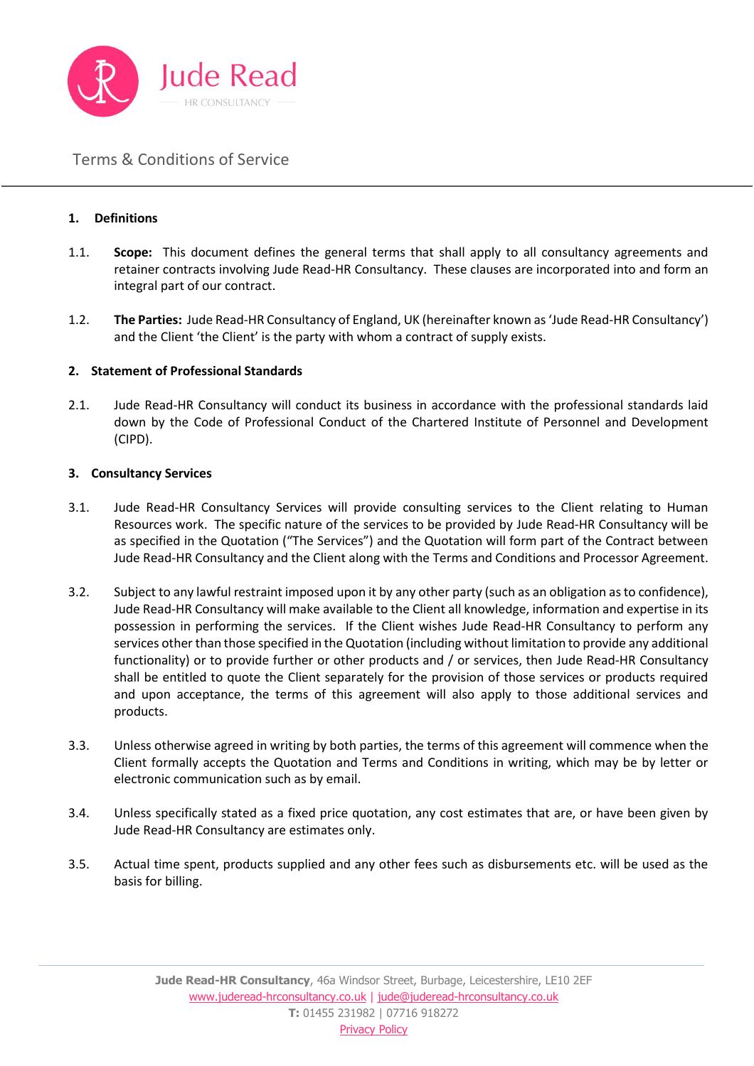

### **1. Definitions**

- 1.1. **Scope:** This document defines the general terms that shall apply to all consultancy agreements and retainer contracts involving Jude Read-HR Consultancy. These clauses are incorporated into and form an integral part of our contract.
- 1.2. **The Parties:** Jude Read-HR Consultancy of England, UK (hereinafter known as 'Jude Read-HR Consultancy') and the Client 'the Client' is the party with whom a contract of supply exists.

### **2. Statement of Professional Standards**

2.1. Jude Read-HR Consultancy will conduct its business in accordance with the professional standards laid down by the Code of Professional Conduct of the Chartered Institute of Personnel and Development (CIPD).

#### **3. Consultancy Services**

- 3.1. Jude Read-HR Consultancy Services will provide consulting services to the Client relating to Human Resources work. The specific nature of the services to be provided by Jude Read-HR Consultancy will be as specified in the Quotation ("The Services") and the Quotation will form part of the Contract between Jude Read-HR Consultancy and the Client along with the Terms and Conditions and Processor Agreement.
- 3.2. Subject to any lawful restraint imposed upon it by any other party (such as an obligation as to confidence), Jude Read-HR Consultancy will make available to the Client all knowledge, information and expertise in its possession in performing the services. If the Client wishes Jude Read-HR Consultancy to perform any services other than those specified in the Quotation (including without limitation to provide any additional functionality) or to provide further or other products and / or services, then Jude Read-HR Consultancy shall be entitled to quote the Client separately for the provision of those services or products required and upon acceptance, the terms of this agreement will also apply to those additional services and products.
- 3.3. Unless otherwise agreed in writing by both parties, the terms of this agreement will commence when the Client formally accepts the Quotation and Terms and Conditions in writing, which may be by letter or electronic communication such as by email.
- 3.4. Unless specifically stated as a fixed price quotation, any cost estimates that are, or have been given by Jude Read-HR Consultancy are estimates only.
- 3.5. Actual time spent, products supplied and any other fees such as disbursements etc. will be used as the basis for billing.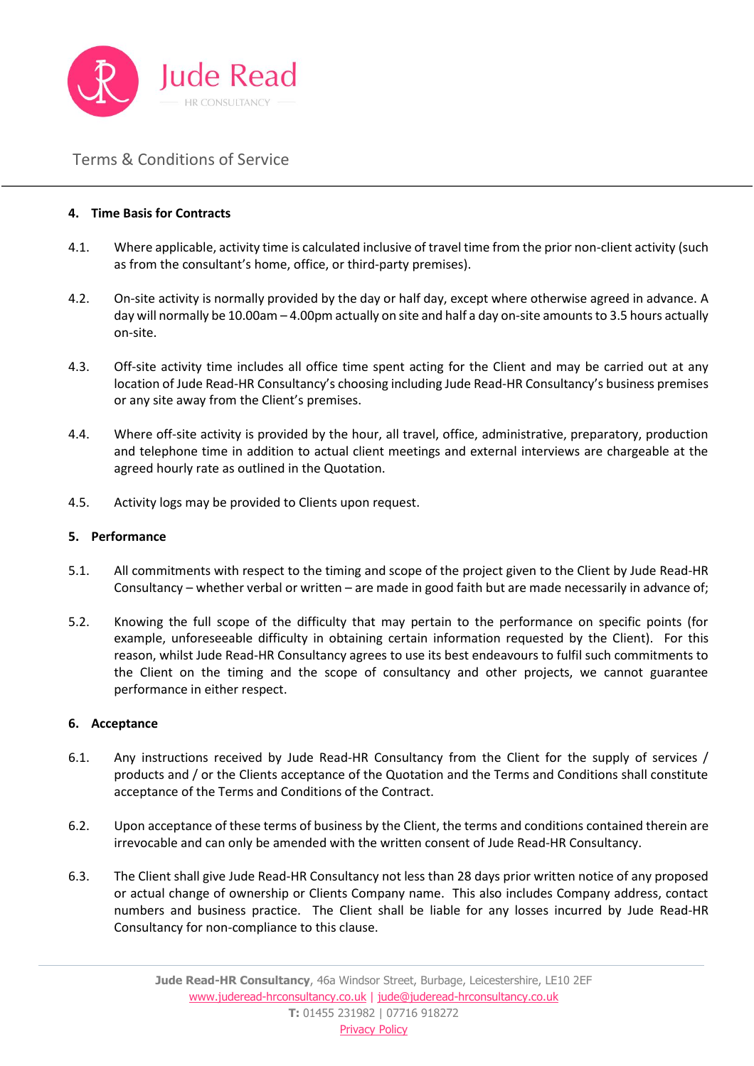

#### **4. Time Basis for Contracts**

- 4.1. Where applicable, activity time is calculated inclusive of travel time from the prior non-client activity (such as from the consultant's home, office, or third-party premises).
- 4.2. On-site activity is normally provided by the day or half day, except where otherwise agreed in advance. A day will normally be 10.00am – 4.00pm actually on site and half a day on-site amounts to 3.5 hours actually on-site.
- 4.3. Off-site activity time includes all office time spent acting for the Client and may be carried out at any location of Jude Read-HR Consultancy's choosing including Jude Read-HR Consultancy's business premises or any site away from the Client's premises.
- 4.4. Where off-site activity is provided by the hour, all travel, office, administrative, preparatory, production and telephone time in addition to actual client meetings and external interviews are chargeable at the agreed hourly rate as outlined in the Quotation.
- 4.5. Activity logs may be provided to Clients upon request.

#### **5. Performance**

- 5.1. All commitments with respect to the timing and scope of the project given to the Client by Jude Read-HR Consultancy – whether verbal or written – are made in good faith but are made necessarily in advance of;
- 5.2. Knowing the full scope of the difficulty that may pertain to the performance on specific points (for example, unforeseeable difficulty in obtaining certain information requested by the Client). For this reason, whilst Jude Read-HR Consultancy agrees to use its best endeavours to fulfil such commitments to the Client on the timing and the scope of consultancy and other projects, we cannot guarantee performance in either respect.

#### **6. Acceptance**

- 6.1. Any instructions received by Jude Read-HR Consultancy from the Client for the supply of services / products and / or the Clients acceptance of the Quotation and the Terms and Conditions shall constitute acceptance of the Terms and Conditions of the Contract.
- 6.2. Upon acceptance of these terms of business by the Client, the terms and conditions contained therein are irrevocable and can only be amended with the written consent of Jude Read-HR Consultancy.
- 6.3. The Client shall give Jude Read-HR Consultancy not less than 28 days prior written notice of any proposed or actual change of ownership or Clients Company name. This also includes Company address, contact numbers and business practice. The Client shall be liable for any losses incurred by Jude Read-HR Consultancy for non-compliance to this clause.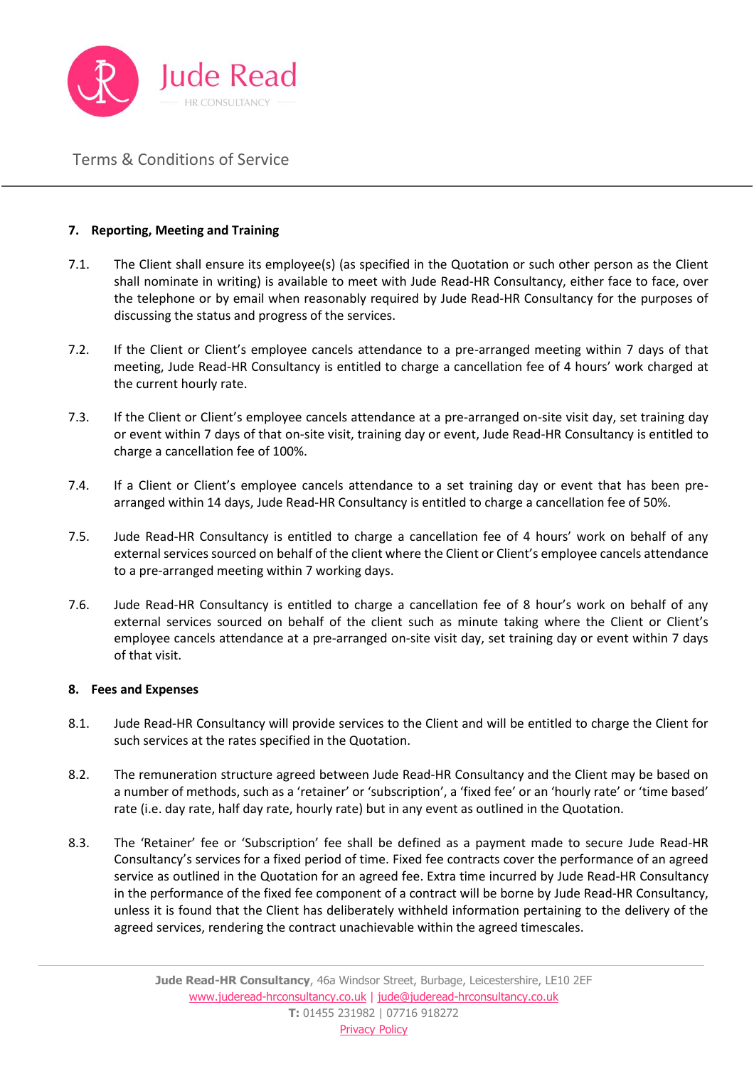

### **7. Reporting, Meeting and Training**

- 7.1. The Client shall ensure its employee(s) (as specified in the Quotation or such other person as the Client shall nominate in writing) is available to meet with Jude Read-HR Consultancy, either face to face, over the telephone or by email when reasonably required by Jude Read-HR Consultancy for the purposes of discussing the status and progress of the services.
- 7.2. If the Client or Client's employee cancels attendance to a pre-arranged meeting within 7 days of that meeting, Jude Read-HR Consultancy is entitled to charge a cancellation fee of 4 hours' work charged at the current hourly rate.
- 7.3. If the Client or Client's employee cancels attendance at a pre-arranged on-site visit day, set training day or event within 7 days of that on-site visit, training day or event, Jude Read-HR Consultancy is entitled to charge a cancellation fee of 100%.
- 7.4. If a Client or Client's employee cancels attendance to a set training day or event that has been prearranged within 14 days, Jude Read-HR Consultancy is entitled to charge a cancellation fee of 50%.
- 7.5. Jude Read-HR Consultancy is entitled to charge a cancellation fee of 4 hours' work on behalf of any external services sourced on behalf of the client where the Client or Client's employee cancels attendance to a pre-arranged meeting within 7 working days.
- 7.6. Jude Read-HR Consultancy is entitled to charge a cancellation fee of 8 hour's work on behalf of any external services sourced on behalf of the client such as minute taking where the Client or Client's employee cancels attendance at a pre-arranged on-site visit day, set training day or event within 7 days of that visit.

#### **8. Fees and Expenses**

- 8.1. Jude Read-HR Consultancy will provide services to the Client and will be entitled to charge the Client for such services at the rates specified in the Quotation.
- 8.2. The remuneration structure agreed between Jude Read-HR Consultancy and the Client may be based on a number of methods, such as a 'retainer' or 'subscription', a 'fixed fee' or an 'hourly rate' or 'time based' rate (i.e. day rate, half day rate, hourly rate) but in any event as outlined in the Quotation.
- 8.3. The 'Retainer' fee or 'Subscription' fee shall be defined as a payment made to secure Jude Read-HR Consultancy's services for a fixed period of time. Fixed fee contracts cover the performance of an agreed service as outlined in the Quotation for an agreed fee. Extra time incurred by Jude Read-HR Consultancy in the performance of the fixed fee component of a contract will be borne by Jude Read-HR Consultancy, unless it is found that the Client has deliberately withheld information pertaining to the delivery of the agreed services, rendering the contract unachievable within the agreed timescales.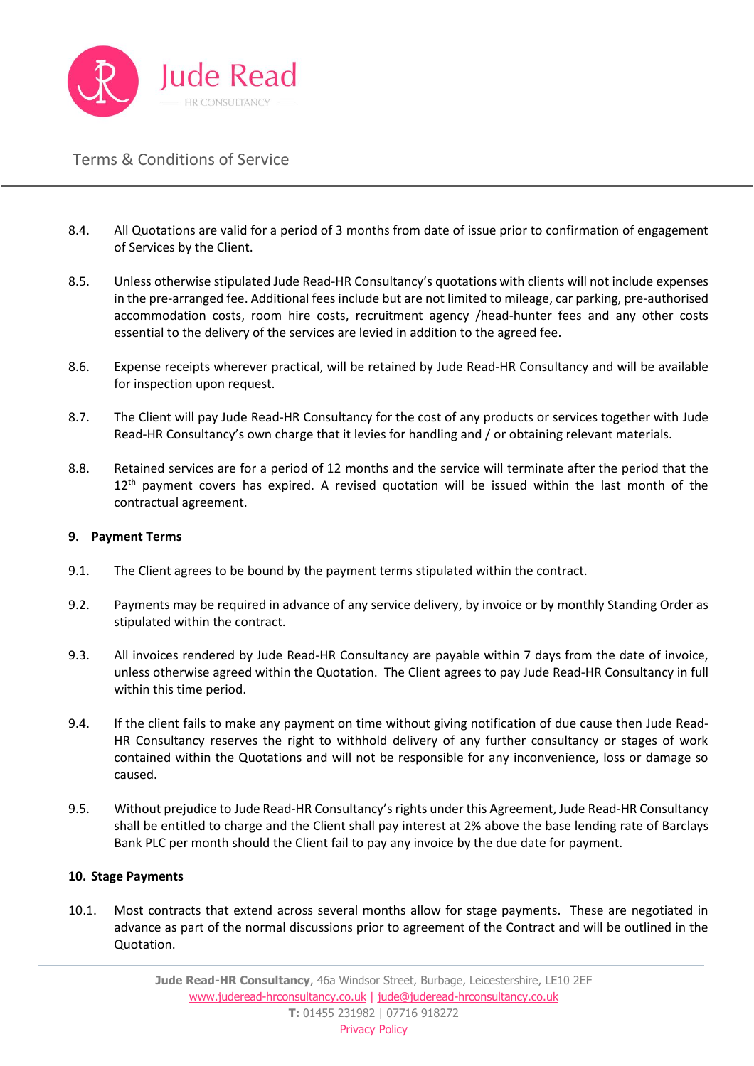

- 8.4. All Quotations are valid for a period of 3 months from date of issue prior to confirmation of engagement of Services by the Client.
- 8.5. Unless otherwise stipulated Jude Read-HR Consultancy's quotations with clients will not include expenses in the pre-arranged fee. Additional fees include but are not limited to mileage, car parking, pre-authorised accommodation costs, room hire costs, recruitment agency /head-hunter fees and any other costs essential to the delivery of the services are levied in addition to the agreed fee.
- 8.6. Expense receipts wherever practical, will be retained by Jude Read-HR Consultancy and will be available for inspection upon request.
- 8.7. The Client will pay Jude Read-HR Consultancy for the cost of any products or services together with Jude Read-HR Consultancy's own charge that it levies for handling and / or obtaining relevant materials.
- 8.8. Retained services are for a period of 12 months and the service will terminate after the period that the 12<sup>th</sup> payment covers has expired. A revised quotation will be issued within the last month of the contractual agreement.

#### **9. Payment Terms**

- 9.1. The Client agrees to be bound by the payment terms stipulated within the contract.
- 9.2. Payments may be required in advance of any service delivery, by invoice or by monthly Standing Order as stipulated within the contract.
- 9.3. All invoices rendered by Jude Read-HR Consultancy are payable within 7 days from the date of invoice, unless otherwise agreed within the Quotation. The Client agrees to pay Jude Read-HR Consultancy in full within this time period.
- 9.4. If the client fails to make any payment on time without giving notification of due cause then Jude Read-HR Consultancy reserves the right to withhold delivery of any further consultancy or stages of work contained within the Quotations and will not be responsible for any inconvenience, loss or damage so caused.
- 9.5. Without prejudice to Jude Read-HR Consultancy's rights under this Agreement, Jude Read-HR Consultancy shall be entitled to charge and the Client shall pay interest at 2% above the base lending rate of Barclays Bank PLC per month should the Client fail to pay any invoice by the due date for payment.

#### **10. Stage Payments**

10.1. Most contracts that extend across several months allow for stage payments. These are negotiated in advance as part of the normal discussions prior to agreement of the Contract and will be outlined in the Quotation.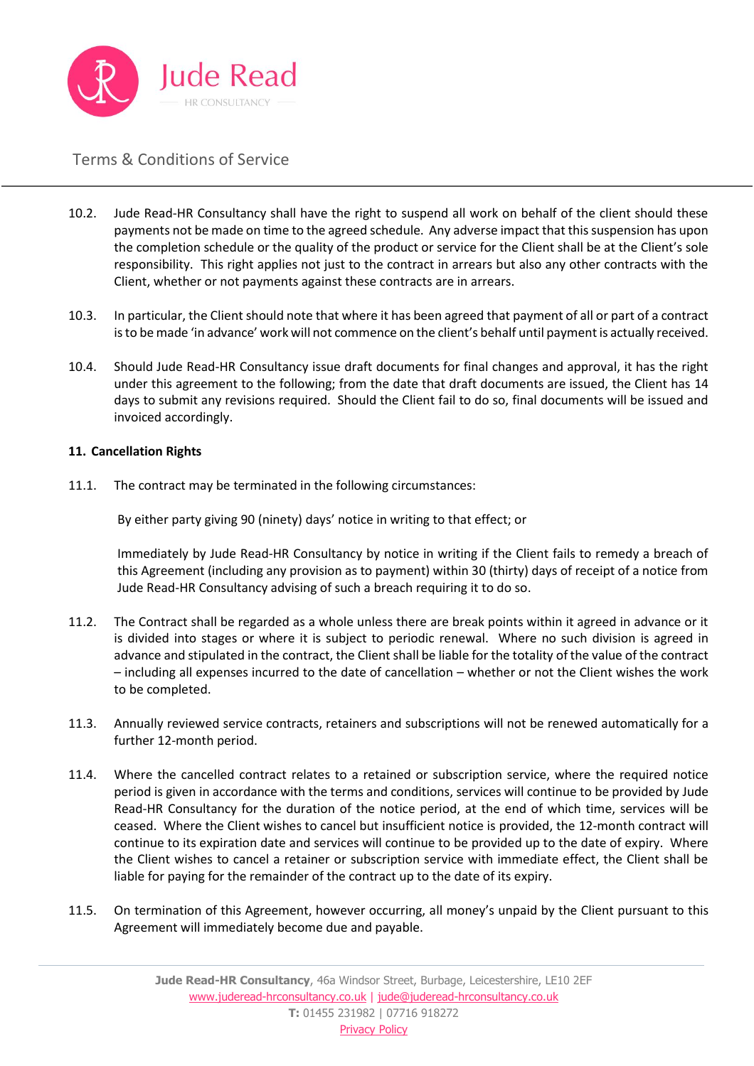

- 10.2. Jude Read-HR Consultancy shall have the right to suspend all work on behalf of the client should these payments not be made on time to the agreed schedule. Any adverse impact that this suspension has upon the completion schedule or the quality of the product or service for the Client shall be at the Client's sole responsibility. This right applies not just to the contract in arrears but also any other contracts with the Client, whether or not payments against these contracts are in arrears.
- 10.3. In particular, the Client should note that where it has been agreed that payment of all or part of a contract is to be made 'in advance' work will not commence on the client's behalf until payment is actually received.
- 10.4. Should Jude Read-HR Consultancy issue draft documents for final changes and approval, it has the right under this agreement to the following; from the date that draft documents are issued, the Client has 14 days to submit any revisions required. Should the Client fail to do so, final documents will be issued and invoiced accordingly.

### **11. Cancellation Rights**

11.1. The contract may be terminated in the following circumstances:

By either party giving 90 (ninety) days' notice in writing to that effect; or

Immediately by Jude Read-HR Consultancy by notice in writing if the Client fails to remedy a breach of this Agreement (including any provision as to payment) within 30 (thirty) days of receipt of a notice from Jude Read-HR Consultancy advising of such a breach requiring it to do so.

- 11.2. The Contract shall be regarded as a whole unless there are break points within it agreed in advance or it is divided into stages or where it is subject to periodic renewal. Where no such division is agreed in advance and stipulated in the contract, the Client shall be liable for the totality of the value of the contract – including all expenses incurred to the date of cancellation – whether or not the Client wishes the work to be completed.
- 11.3. Annually reviewed service contracts, retainers and subscriptions will not be renewed automatically for a further 12-month period.
- 11.4. Where the cancelled contract relates to a retained or subscription service, where the required notice period is given in accordance with the terms and conditions, services will continue to be provided by Jude Read-HR Consultancy for the duration of the notice period, at the end of which time, services will be ceased. Where the Client wishes to cancel but insufficient notice is provided, the 12-month contract will continue to its expiration date and services will continue to be provided up to the date of expiry. Where the Client wishes to cancel a retainer or subscription service with immediate effect, the Client shall be liable for paying for the remainder of the contract up to the date of its expiry.
- 11.5. On termination of this Agreement, however occurring, all money's unpaid by the Client pursuant to this Agreement will immediately become due and payable.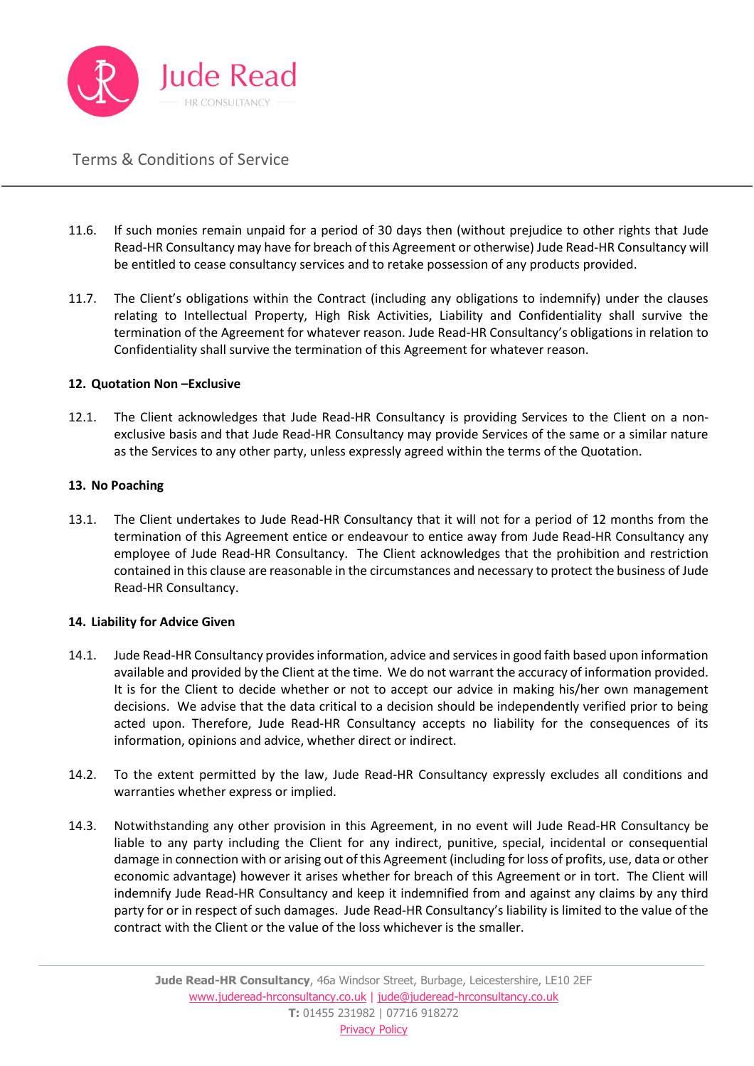

- 11.6. If such monies remain unpaid for a period of 30 days then (without prejudice to other rights that Jude Read-HR Consultancy may have for breach of this Agreement or otherwise) Jude Read-HR Consultancy will be entitled to cease consultancy services and to retake possession of any products provided.
- 11.7. The Client's obligations within the Contract (including any obligations to indemnify) under the clauses relating to Intellectual Property, High Risk Activities, Liability and Confidentiality shall survive the termination of the Agreement for whatever reason. Jude Read-HR Consultancy's obligations in relation to Confidentiality shall survive the termination of this Agreement for whatever reason.

#### **12. Quotation Non –Exclusive**

12.1. The Client acknowledges that Jude Read-HR Consultancy is providing Services to the Client on a nonexclusive basis and that Jude Read-HR Consultancy may provide Services of the same or a similar nature as the Services to any other party, unless expressly agreed within the terms of the Quotation.

#### **13. No Poaching**

13.1. The Client undertakes to Jude Read-HR Consultancy that it will not for a period of 12 months from the termination of this Agreement entice or endeavour to entice away from Jude Read-HR Consultancy any employee of Jude Read-HR Consultancy. The Client acknowledges that the prohibition and restriction contained in this clause are reasonable in the circumstances and necessary to protect the business of Jude Read-HR Consultancy.

#### **14. Liability for Advice Given**

- 14.1. Jude Read-HR Consultancy provides information, advice and services in good faith based upon information available and provided by the Client at the time. We do not warrant the accuracy of information provided. It is for the Client to decide whether or not to accept our advice in making his/her own management decisions. We advise that the data critical to a decision should be independently verified prior to being acted upon. Therefore, Jude Read-HR Consultancy accepts no liability for the consequences of its information, opinions and advice, whether direct or indirect.
- 14.2. To the extent permitted by the law, Jude Read-HR Consultancy expressly excludes all conditions and warranties whether express or implied.
- 14.3. Notwithstanding any other provision in this Agreement, in no event will Jude Read-HR Consultancy be liable to any party including the Client for any indirect, punitive, special, incidental or consequential damage in connection with or arising out of this Agreement (including for loss of profits, use, data or other economic advantage) however it arises whether for breach of this Agreement or in tort. The Client will indemnify Jude Read-HR Consultancy and keep it indemnified from and against any claims by any third party for or in respect of such damages. Jude Read-HR Consultancy's liability is limited to the value of the contract with the Client or the value of the loss whichever is the smaller.